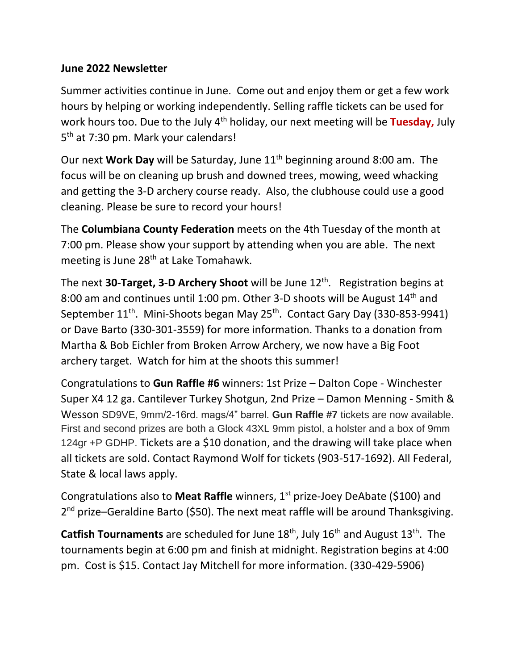## **June 2022 Newsletter**

Summer activities continue in June. Come out and enjoy them or get a few work hours by helping or working independently. Selling raffle tickets can be used for work hours too. Due to the July 4<sup>th</sup> holiday, our next meeting will be **Tuesday,** July 5<sup>th</sup> at 7:30 pm. Mark your calendars!

Our next **Work Day** will be Saturday, June 11<sup>th</sup> beginning around 8:00 am. The focus will be on cleaning up brush and downed trees, mowing, weed whacking and getting the 3-D archery course ready. Also, the clubhouse could use a good cleaning. Please be sure to record your hours!

The **Columbiana County Federation** meets on the 4th Tuesday of the month at 7:00 pm. Please show your support by attending when you are able. The next meeting is June 28<sup>th</sup> at Lake Tomahawk.

The next **30-Target, 3-D Archery Shoot** will be June 12th. Registration begins at 8:00 am and continues until 1:00 pm. Other 3-D shoots will be August  $14<sup>th</sup>$  and September 11<sup>th</sup>. Mini-Shoots began May 25<sup>th</sup>. Contact Gary Day (330-853-9941) or Dave Barto (330-301-3559) for more information. Thanks to a donation from Martha & Bob Eichler from Broken Arrow Archery, we now have a Big Foot archery target. Watch for him at the shoots this summer!

Congratulations to **Gun Raffle #6** winners: 1st Prize – Dalton Cope - Winchester Super X4 12 ga. Cantilever Turkey Shotgun, 2nd Prize – Damon Menning - Smith & Wesson SD9VE, 9mm/2-16rd. mags/4" barrel. **Gun Raffle #7** tickets are now available. First and second prizes are both a Glock 43XL 9mm pistol, a holster and a box of 9mm 124gr +P GDHP. Tickets are a \$10 donation, and the drawing will take place when all tickets are sold. Contact Raymond Wolf for tickets (903-517-1692). All Federal, State & local laws apply.

Congratulations also to **Meat Raffle** winners, 1<sup>st</sup> prize-Joey DeAbate (\$100) and 2<sup>nd</sup> prize–Geraldine Barto (\$50). The next meat raffle will be around Thanksgiving.

Catfish Tournaments are scheduled for June 18<sup>th</sup>, July 16<sup>th</sup> and August 13<sup>th</sup>. The tournaments begin at 6:00 pm and finish at midnight. Registration begins at 4:00 pm. Cost is \$15. Contact Jay Mitchell for more information. (330-429-5906)